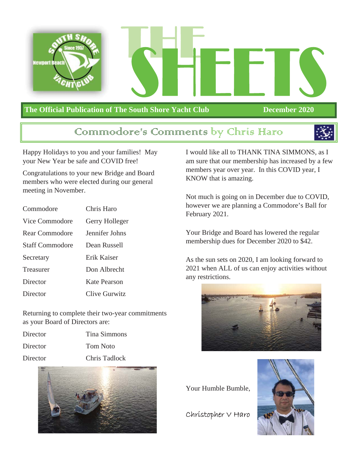

# **The Official Publication of The South Shore Yacht Club December 2020**

# Communodore's Communents by Chris Haro



Happy Holidays to you and your families! May your New Year be safe and COVID free!

Congratulations to your new Bridge and Board members who were elected during our general meeting in November.

| Commodore              | Chris Haro     |  |  |  |
|------------------------|----------------|--|--|--|
| Vice Commodore         | Gerry Holleger |  |  |  |
| Rear Commodore         | Jennifer Johns |  |  |  |
| <b>Staff Commodore</b> | Dean Russell   |  |  |  |
| Secretary              | Erik Kaiser    |  |  |  |
| Treasurer              | Don Albrecht   |  |  |  |
| Director               | Kate Pearson   |  |  |  |
| Director               | Clive Gurwitz  |  |  |  |

Returning to complete their two-year commitments as your Board of Directors are:

- Director Tina Simmons
- Director Tom Noto
- Director Chris Tadlock



I would like all to THANK TINA SIMMONS, as I am sure that our membership has increased by a few members year over year. In this COVID year, I KNOW that is amazing.

Not much is going on in December due to COVID, however we are planning a Commodore's Ball for February 2021.

Your Bridge and Board has lowered the regular membership dues for December 2020 to \$42.

As the sun sets on 2020, I am looking forward to 2021 when ALL of us can enjoy activities without any restrictions.



Your Humble Bumble,

Christopher V Haro

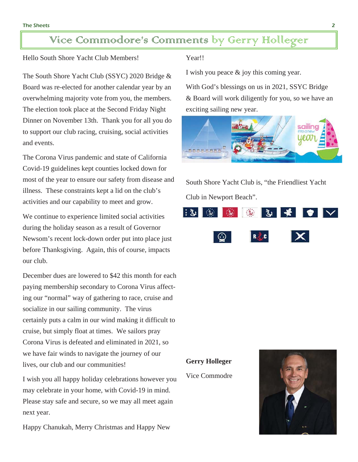# Vice Commodore's Comments by Gerry Holleger

Hello South Shore Yacht Club Members!

The South Shore Yacht Club (SSYC) 2020 Bridge & Board was re-elected for another calendar year by an overwhelming majority vote from you, the members. The election took place at the Second Friday Night Dinner on November 13th. Thank you for all you do to support our club racing, cruising, social activities and events.

The Corona Virus pandemic and state of California Covid-19 guidelines kept counties locked down for most of the year to ensure our safety from disease and illness. These constraints kept a lid on the club's activities and our capability to meet and grow.

We continue to experience limited social activities during the holiday season as a result of Governor Newsom's recent lock-down order put into place just before Thanksgiving. Again, this of course, impacts our club.

December dues are lowered to \$42 this month for each paying membership secondary to Corona Virus affecting our "normal" way of gathering to race, cruise and socialize in our sailing community. The virus certainly puts a calm in our wind making it difficult to cruise, but simply float at times. We sailors pray Corona Virus is defeated and eliminated in 2021, so we have fair winds to navigate the journey of our lives, our club and our communities!

I wish you all happy holiday celebrations however you may celebrate in your home, with Covid-19 in mind. Please stay safe and secure, so we may all meet again next year.

Happy Chanukah, Merry Christmas and Happy New

### Year!!

I wish you peace & joy this coming year.

With God's blessings on us in 2021, SSYC Bridge & Board will work diligently for you, so we have an exciting sailing new year.



South Shore Yacht Club is, "the Friendliest Yacht Club in Newport Beach".



**Gerry Holleger**

Vice Commodre

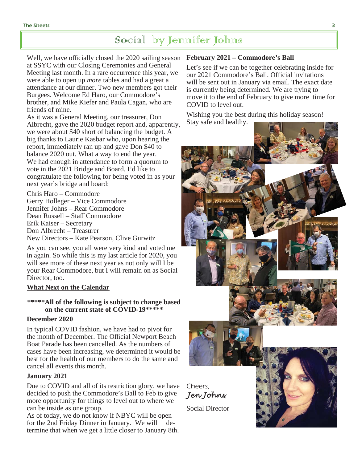# Social by Jennifer Johns

Well, we have officially closed the 2020 sailing season **February 2021 – Commodore's Ball** at SSYC with our Closing Ceremonies and General Meeting last month. In a rare occurrence this year, we were able to open up *more* tables and had a great a attendance at our dinner. Two new members got their Burgees. Welcome Ed Haro, our Commodore's brother, and Mike Kiefer and Paula Cagan, who are friends of mine.

As it was a General Meeting, our treasurer, Don Albrecht, gave the 2020 budget report and, apparently, we were about \$40 short of balancing the budget. A big thanks to Laurie Kasbar who, upon hearing the report, immediately ran up and gave Don \$40 to balance 2020 out. What a way to end the year. We had enough in attendance to form a quorum to vote in the 2021 Bridge and Board. I'd like to congratulate the following for being voted in as your next year's bridge and board:

Chris Haro – Commodore Gerry Holleger – Vice Commodore Jennifer Johns – Rear Commodore Dean Russell – Staff Commodore Erik Kaiser – Secretary Don Albrecht – Treasurer New Directors – Kate Pearson, Clive Gurwitz

As you can see, you all were very kind and voted me in again. So while this is my last article for 2020, you will see more of these next year as not only will I be your Rear Commodore, but I will remain on as Social Director, too.

### **What Next on the Calendar**

## **\*\*\*\*\*All of the following is subject to change based on the current state of COVID-19\*\*\*\*\***

### **December 2020**

In typical COVID fashion, we have had to pivot for the month of December. The Official Newport Beach Boat Parade has been cancelled. As the numbers of cases have been increasing, we determined it would be best for the health of our members to do the same and cancel all events this month.

### **January 2021**

Due to COVID and all of its restriction glory, we have decided to push the Commodore's Ball to Feb to give more opportunity for things to level out to where we can be inside as one group.

As of today, we do not know if NBYC will be open for the 2nd Friday Dinner in January. We will determine that when we get a little closer to January 8th.

Let's see if we can be together celebrating inside for our 2021 Commodore's Ball. Official invitations will be sent out in January via email. The exact date is currently being determined. We are trying to move it to the end of February to give more time for COVID to level out.

Wishing you the best during this holiday season! Stay safe and healthy.

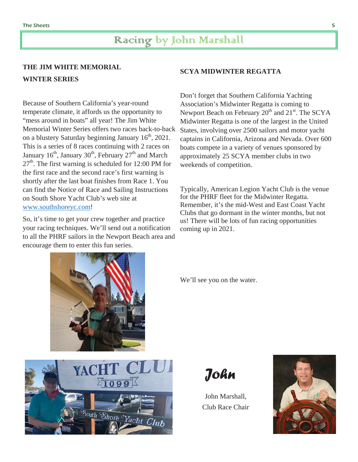# Racing by John Marshall

# **THE JIM WHITE MEMORIAL WINTER SERIES**

Because of Southern California's year-round temperate climate, it affords us the opportunity to "mess around in boats" all year! The Jim White Memorial Winter Series offers two races back-to-back on a blustery Saturday beginning January  $16<sup>th</sup>$ , 2021. This is a series of 8 races continuing with 2 races on January  $16<sup>th</sup>$ , January  $30<sup>th</sup>$ , February  $27<sup>th</sup>$  and March  $27<sup>th</sup>$ . The first warning is scheduled for 12:00 PM for the first race and the second race's first warning is shortly after the last boat finishes from Race 1. You can find the Notice of Race and Sailing Instructions on South Shore Yacht Club's web site at www.southshoreyc.com!

So, it's time to get your crew together and practice your racing techniques. We'll send out a notification to all the PHRF sailors in the Newport Beach area and encourage them to enter this fun series.

### **SCYA MIDWINTER REGATTA**

Don't forget that Southern California Yachting Association's Midwinter Regatta is coming to Newport Beach on February  $20<sup>th</sup>$  and  $21<sup>st</sup>$ . The SCYA Midwinter Regatta is one of the largest in the United States, involving over 2500 sailors and motor yacht captains in California, Arizona and Nevada. Over 600 boats compete in a variety of venues sponsored by approximately 25 SCYA member clubs in two weekends of competition.

Typically, American Legion Yacht Club is the venue for the PHRF fleet for the Midwinter Regatta. Remember, it's the mid-West and East Coast Yacht Clubs that go dormant in the winter months, but not us! There will be lots of fun racing opportunities coming up in 2021.

We'll see you on the water.



*John*

John Marshall, Club Race Chair

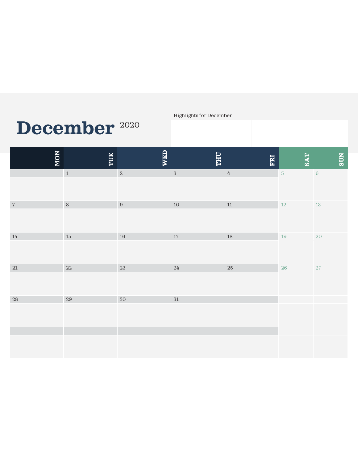# **December** <sup>2020</sup>

Highlights for December

| NON    | TUE     | WED    | <b>THU</b> | FRI              | <b>SAT</b> | <b>SUN</b> |
|--------|---------|--------|------------|------------------|------------|------------|
|        | $\,1\,$ | $\,2$  | $\,3$      | $\ensuremath{4}$ | $\sqrt{5}$ | $\,6\,$    |
| $\,7$  | $\,8\,$ | $\, 9$ | $10\,$     | $11\,$           | $12\,$     | $13\,$     |
| $14\,$ | $15\,$  | $16\,$ | $17\,$     | $18\,$           | $19\,$     | $20\,$     |
| $21\,$ | $22\,$  | $23\,$ | $24\,$     | $25\,$           | $26\,$     | $27\,$     |
| $28\,$ | $29\,$  | $30\,$ | $31\,$     |                  |            |            |
|        |         |        |            |                  |            |            |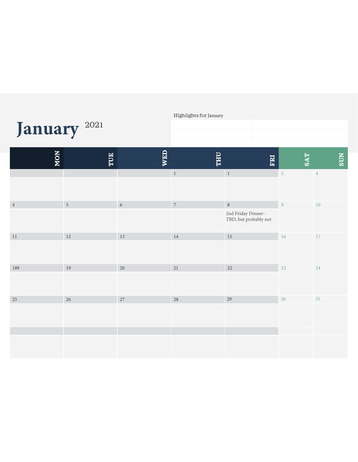|                         |            |            | Highlights for January |                                             |                |            |  |
|-------------------------|------------|------------|------------------------|---------------------------------------------|----------------|------------|--|
| January <sup>2021</sup> |            |            |                        |                                             |                |            |  |
|                         |            |            |                        |                                             |                |            |  |
| NON                     | TUE        | <b>WED</b> | <b>THU</b>             | ERI                                         | <b>SAT</b>     | <b>SUN</b> |  |
|                         |            |            | $\,$ 1                 | $\overline{1}$                              | $\overline{2}$ | $\sqrt{4}$ |  |
| $\sqrt{4}$              | $\sqrt{5}$ | $\sqrt{6}$ | $\sqrt{7}$             | $\, 8$                                      | 9              | $10\,$     |  |
|                         |            |            |                        | 2nd Friday Dinner-<br>TBD, but probably not |                |            |  |
| $1\,1$                  | 12         | $13\,$     | 14                     | $15\,$                                      | $16\,$         | 17         |  |
|                         |            |            |                        |                                             |                |            |  |
| 189                     | 19         | $20\,$     | $21\,$                 | $22\,$                                      | 23             | 24         |  |
|                         |            |            |                        |                                             |                |            |  |
| $25\,$                  | 26         | $27\,$     | $28\,$                 | 29                                          | 30             | 31         |  |
|                         |            |            |                        |                                             |                |            |  |
|                         |            |            |                        |                                             |                |            |  |
|                         |            |            |                        |                                             |                |            |  |
|                         |            |            |                        |                                             |                |            |  |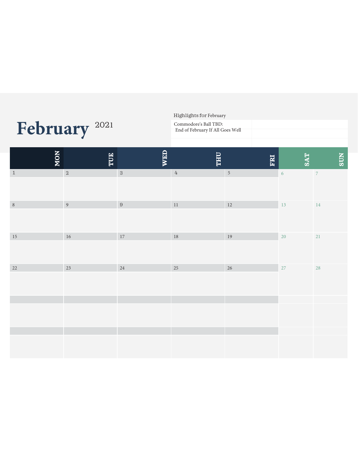| February <sup>2021</sup> |         |                | Commodore's Ball TBD:<br>End of February If All Goes Well |                  |            |            |                          |            |
|--------------------------|---------|----------------|-----------------------------------------------------------|------------------|------------|------------|--------------------------|------------|
|                          | NON     | TUE            | <b>WED</b>                                                | <b>UHL</b>       | FRI        | <b>SAT</b> |                          | <b>SUN</b> |
|                          | $1\,$   | $\,2$          | $\sqrt{3}$                                                | $\ensuremath{4}$ | $\sqrt{5}$ | $\sqrt{6}$ | $\overline{\phantom{a}}$ |            |
|                          | $\,8\,$ | $\overline{9}$ | $\,9$                                                     | $11\,$           | $12\,$     | 13         | 14                       |            |
|                          | $15\,$  | $16\,$         | $17\,$                                                    | $18\,$           | $19\,$     | 20         | 21                       |            |
|                          | $22\,$  | 23             | 24                                                        | 25               | 26         | 27         | 28                       |            |
|                          |         |                |                                                           |                  |            |            |                          |            |
|                          |         |                |                                                           |                  |            |            |                          |            |

Highlights for February